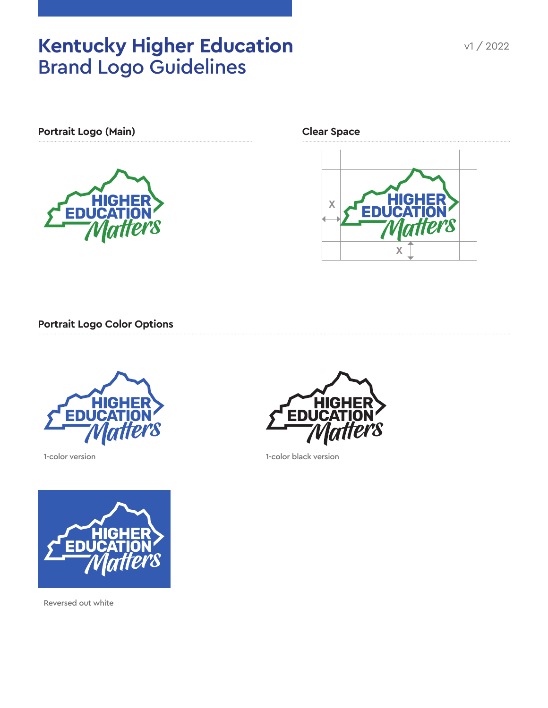# Kentucky Higher Education v1/2022 Brand Logo Guidelines



**Clear Space**



**Portrait Logo Color Options**



1-color version



Reversed out white



1-color black version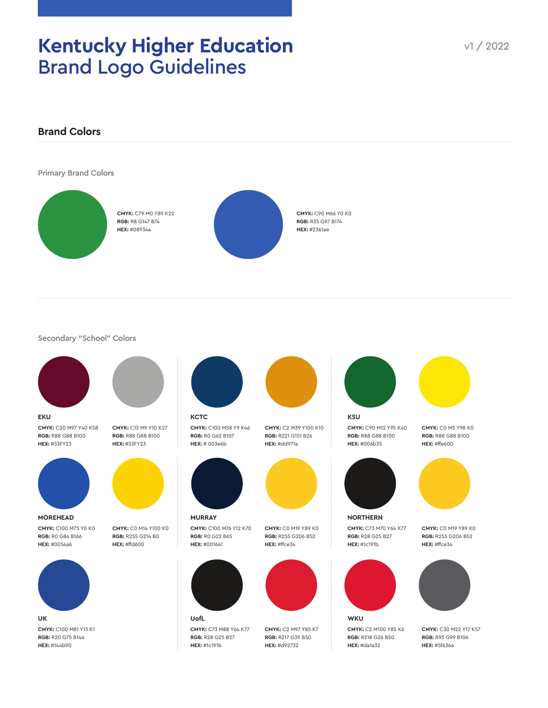### Kentucky Higher Education v1/2022 Brand Logo Guidelines



Secondary "School" Colors



**CMYK:** C20 M97 Y40 K58 **RGB:** R88 G88 B100 **HEX:** #33FY23



**CMYK:** C100 M75 Y0 K0 **RGB:** R0 G84 B166 **HEX:** #0054a6 **MOREHEAD**



**CMYK:** C100 M81 Y13 K1 **RGB:** R20 G75 B144 **HEX:** #144b90 **UK**



**CMYK:** C13 M9 Y10 K27 **RGB:** R88 G88 B100 **HEX:** #33FY23



**CMYK:** C0 M14 Y100 K0 **RGB:** R255 G214 B0 **HEX:** #ffd600



**CMYK:** C100 M58 Y9 K46 **RGB:** R0 G62 B107 **HEX:** # 003e6b

**KCTC**

**CMYK:** C100 M76 Y12 K70 **RGB:** R0 G22 B65

**MURRAY**

**CMYK:** C73 M88 Y64 K77 **RGB:** R28 G25 B27 **HEX:** #1c191b





**CMYK:** C0 M19 Y89 K0 **RGB:** R255 G206 B52 **HEX:** #ffce34



**CMYK:** C2 M97 Y85 K7 **RGB:** R217 G39 B50 **HEX:** #d92732



**CMYK:** C90 M12 Y95 K40 **RGB:** R88 G88 B100 **HEX:** #006b35





**CMYK:** C73 M70 Y64 K77 **RGB:** R28 G25 B27 **HEX:** #1c191b **NORTHERN**



**CMYK:** C2 M100 Y85 K6 **RGB:** R218 G26 B50 **HEX:** #da1a32

**CMYK:** C0 M5 Y98 K0 **RGB:** R88 G88 B100



**CMYK:** C0 M19 Y89 K0 **RGB:** R255 G206 B52 **HEX:** #ffce34



**CMYK:** C30 M22 Y17 K57 **RGB:** R95 G99 B106 **HEX:** #5f636a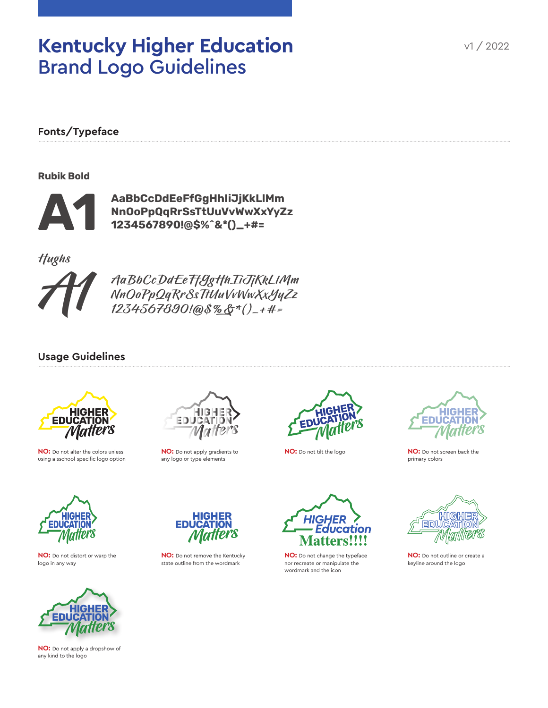### **Kentucky Higher Education** Brand Logo Guidelines

**Fonts/Typeface**

Rubik Bold



AaBbCcDdEeFfGgHhIiJjKkLlMm NnOoPpQqRrSsTtUuVvWwXxYyZz 1234567890!@\$%^&\*()\_+#=

**Hughs** 



AaBbCcDdEeFfGgHhIiJjKkLlMm NnOoPpQqRrSsTtUuVvWwXxYyZz 1234567890!@\$%&\*()\_+#=

#### **Usage Guidelines**



**NO:** Do not alter the colors unless using a sschool-specific logo option



**NO:** Do not apply gradients to any logo or type elements



**NO:** Do not tilt the logo



**NO:** Do not screen back the primary colors



**NO:** Do not distort or warp the logo in any way



**NO:** Do not apply a dropshow of any kind to the logo



**NO:** Do not remove the Kentucky state outline from the wordmark



**NO:** Do not change the typeface nor recreate or manipulate the wordmark and the icon



**NO:** Do not outline or create a keyline around the logo